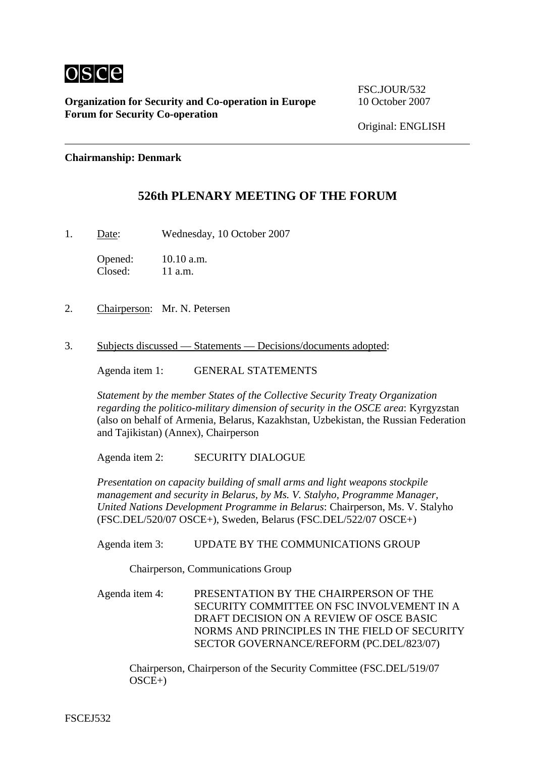

**Organization for Security and Co-operation in Europe 10 October 2007 Forum for Security Co-operation**

FSC.JOUR/532

## **Chairmanship: Denmark**

## **526th PLENARY MEETING OF THE FORUM**

1. Date: Wednesday, 10 October 2007

Opened: 10.10 a.m. Closed: 11 a.m.

- 2. Chairperson: Mr. N. Petersen
- 3. Subjects discussed Statements Decisions/documents adopted:

Agenda item 1: GENERAL STATEMENTS

*Statement by the member States of the Collective Security Treaty Organization regarding the politico-military dimension of security in the OSCE area*: Kyrgyzstan (also on behalf of Armenia, Belarus, Kazakhstan, Uzbekistan, the Russian Federation and Tajikistan) (Annex), Chairperson

Agenda item 2: SECURITY DIALOGUE

*Presentation on capacity building of small arms and light weapons stockpile management and security in Belarus, by Ms. V. Stalyho, Programme Manager, United Nations Development Programme in Belarus*: Chairperson, Ms. V. Stalyho (FSC.DEL/520/07 OSCE+), Sweden, Belarus (FSC.DEL/522/07 OSCE+)

Agenda item 3: UPDATE BY THE COMMUNICATIONS GROUP

Chairperson, Communications Group

Agenda item 4: PRESENTATION BY THE CHAIRPERSON OF THE SECURITY COMMITTEE ON FSC INVOLVEMENT IN A DRAFT DECISION ON A REVIEW OF OSCE BASIC NORMS AND PRINCIPLES IN THE FIELD OF SECURITY SECTOR GOVERNANCE/REFORM (PC.DEL/823/07)

Chairperson, Chairperson of the Security Committee (FSC.DEL/519/07  $OSCE+$ )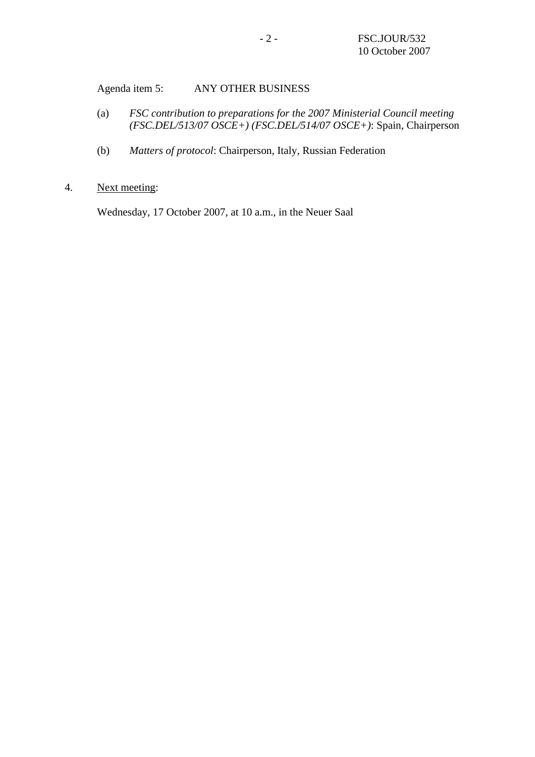Agenda item 5: ANY OTHER BUSINESS

- (a) *FSC contribution to preparations for the 2007 Ministerial Council meeting (FSC.DEL/513/07 OSCE+) (FSC.DEL/514/07 OSCE+)*: Spain, Chairperson
- (b) *Matters of protocol*: Chairperson, Italy, Russian Federation
- 4. Next meeting:

Wednesday, 17 October 2007, at 10 a.m., in the Neuer Saal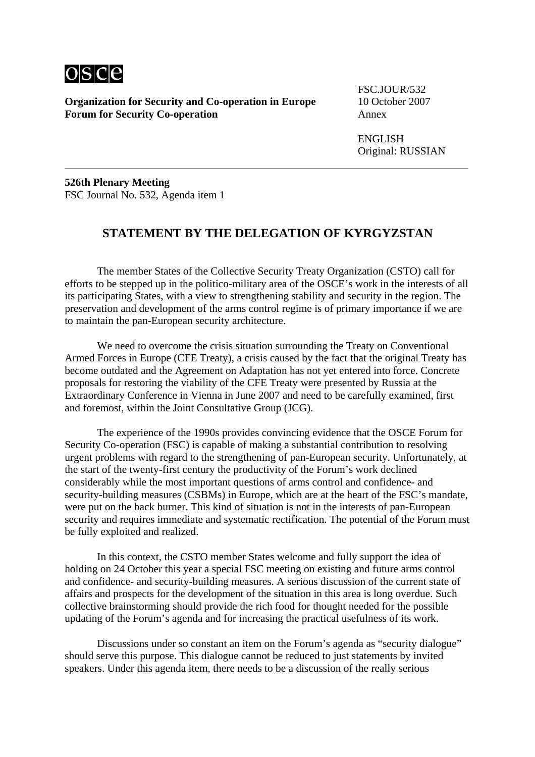

**Organization for Security and Co-operation in Europe 10 October 2007 Forum for Security Co-operation** Annex

FSC.JOUR/532

ENGLISH Original: RUSSIAN

**526th Plenary Meeting** FSC Journal No. 532, Agenda item 1

## **STATEMENT BY THE DELEGATION OF KYRGYZSTAN**

The member States of the Collective Security Treaty Organization (CSTO) call for efforts to be stepped up in the politico-military area of the OSCE's work in the interests of all its participating States, with a view to strengthening stability and security in the region. The preservation and development of the arms control regime is of primary importance if we are to maintain the pan-European security architecture.

We need to overcome the crisis situation surrounding the Treaty on Conventional Armed Forces in Europe (CFE Treaty), a crisis caused by the fact that the original Treaty has become outdated and the Agreement on Adaptation has not yet entered into force. Concrete proposals for restoring the viability of the CFE Treaty were presented by Russia at the Extraordinary Conference in Vienna in June 2007 and need to be carefully examined, first and foremost, within the Joint Consultative Group (JCG).

The experience of the 1990s provides convincing evidence that the OSCE Forum for Security Co-operation (FSC) is capable of making a substantial contribution to resolving urgent problems with regard to the strengthening of pan-European security. Unfortunately, at the start of the twenty-first century the productivity of the Forum's work declined considerably while the most important questions of arms control and confidence- and security-building measures (CSBMs) in Europe, which are at the heart of the FSC's mandate, were put on the back burner. This kind of situation is not in the interests of pan-European security and requires immediate and systematic rectification. The potential of the Forum must be fully exploited and realized.

In this context, the CSTO member States welcome and fully support the idea of holding on 24 October this year a special FSC meeting on existing and future arms control and confidence- and security-building measures. A serious discussion of the current state of affairs and prospects for the development of the situation in this area is long overdue. Such collective brainstorming should provide the rich food for thought needed for the possible updating of the Forum's agenda and for increasing the practical usefulness of its work.

Discussions under so constant an item on the Forum's agenda as "security dialogue" should serve this purpose. This dialogue cannot be reduced to just statements by invited speakers. Under this agenda item, there needs to be a discussion of the really serious